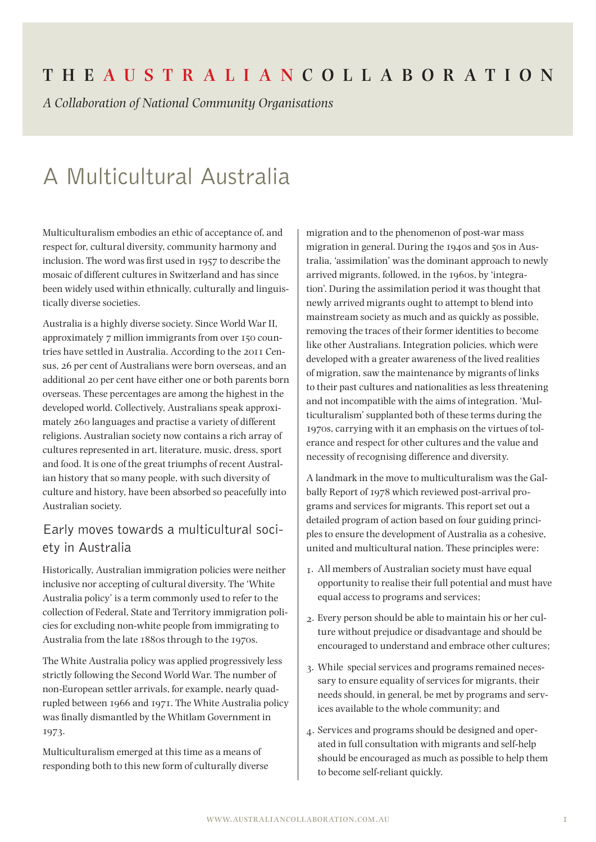## **The Aus t r a l i a n Coll a bor at ion**

*A Collaboration of National Community Organisations*

# A Multicultural Australia

Multiculturalism embodies an ethic of acceptance of, and respect for, cultural diversity, community harmony and inclusion. The word was first used in 1957 to describe the mosaic of different cultures in Switzerland and has since been widely used within ethnically, culturally and linguistically diverse societies.

Australia is a highly diverse society. Since World War II, approximately 7 million immigrants from over 150 countries have settled in Australia. According to the 2011 Census, 26 per cent of Australians were born overseas, and an additional 20 per cent have either one or both parents born overseas. These percentages are among the highest in the developed world. Collectively, Australians speak approximately 260 languages and practise a variety of different religions. Australian society now contains a rich array of cultures represented in art, literature, music, dress, sport and food. It is one of the great triumphs of recent Australian history that so many people, with such diversity of culture and history, have been absorbed so peacefully into Australian society.

## Early moves towards a multicultural society in Australia

Historically, Australian immigration policies were neither inclusive nor accepting of cultural diversity. The 'White Australia policy' is a term commonly used to refer to the collection of Federal, State and Territory immigration policies for excluding non-white people from immigrating to Australia from the late 1880s through to the 1970s.

The White Australia policy was applied progressively less strictly following the Second World War. The number of non-European settler arrivals, for example, nearly quadrupled between 1966 and 1971. The White Australia policy was finally dismantled by the Whitlam Government in 1973.

Multiculturalism emerged at this time as a means of responding both to this new form of culturally diverse migration and to the phenomenon of post-war mass migration in general. During the 1940s and 50s in Australia, 'assimilation' was the dominant approach to newly arrived migrants, followed, in the 1960s, by 'integration'. During the assimilation period it was thought that newly arrived migrants ought to attempt to blend into mainstream society as much and as quickly as possible, removing the traces of their former identities to become like other Australians. Integration policies, which were developed with a greater awareness of the lived realities of migration, saw the maintenance by migrants of links to their past cultures and nationalities as less threatening and not incompatible with the aims of integration. 'Multiculturalism' supplanted both of these terms during the 1970s, carrying with it an emphasis on the virtues of tolerance and respect for other cultures and the value and necessity of recognising difference and diversity.

A landmark in the move to multiculturalism was the Galbally Report of 1978 which reviewed post-arrival programs and services for migrants. This report set out a detailed program of action based on four guiding principles to ensure the development of Australia as a cohesive, united and multicultural nation. These principles were:

- 1. All members of Australian society must have equal opportunity to realise their full potential and must have equal access to programs and services;
- 2. Every person should be able to maintain his or her culture without prejudice or disadvantage and should be encouraged to understand and embrace other cultures;
- 3. While special services and programs remained necessary to ensure equality of services for migrants, their needs should, in general, be met by programs and services available to the whole community; and
- 4. Services and programs should be designed and operated in full consultation with migrants and self-help should be encouraged as much as possible to help them to become self-reliant quickly.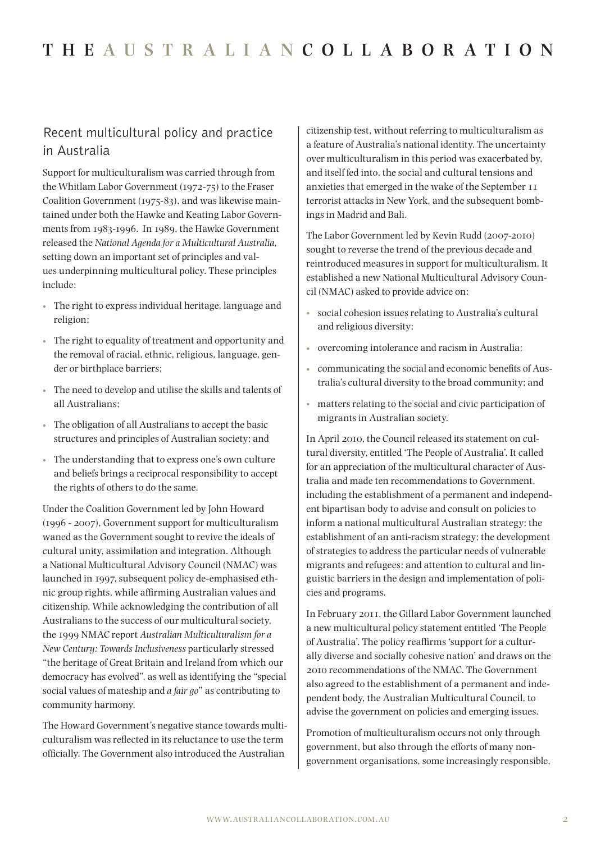## Recent multicultural policy and practice in Australia

Support for multiculturalism was carried through from the Whitlam Labor Government (1972-75) to the Fraser Coalition Government (1975-83), and was likewise maintained under both the Hawke and Keating Labor Governments from 1983-1996. In 1989, the Hawke Government released the *National Agenda for a Multicultural Australia*, setting down an important set of principles and values underpinning multicultural policy. These principles include:

- The right to express individual heritage, language and religion;
- • The right to equality of treatment and opportunity and the removal of racial, ethnic, religious, language, gender or birthplace barriers;
- • The need to develop and utilise the skills and talents of all Australians;
- • The obligation of all Australians to accept the basic structures and principles of Australian society; and
- The understanding that to express one's own culture and beliefs brings a reciprocal responsibility to accept the rights of others to do the same.

Under the Coalition Government led by John Howard (1996 - 2007), Government support for multiculturalism waned as the Government sought to revive the ideals of cultural unity, assimilation and integration. Although a National Multicultural Advisory Council (NMAC) was launched in 1997, subsequent policy de-emphasised ethnic group rights, while affirming Australian values and citizenship. While acknowledging the contribution of all Australians to the success of our multicultural society, the 1999 NMAC report *Australian Multiculturalism for a New Century: Towards Inclusiveness* particularly stressed "the heritage of Great Britain and Ireland from which our democracy has evolved", as well as identifying the "special social values of mateship and *a fair go*" as contributing to community harmony.

The Howard Government's negative stance towards multiculturalism was reflected in its reluctance to use the term officially. The Government also introduced the Australian

citizenship test, without referring to multiculturalism as a feature of Australia's national identity. The uncertainty over multiculturalism in this period was exacerbated by, and itself fed into, the social and cultural tensions and anxieties that emerged in the wake of the September 11 terrorist attacks in New York, and the subsequent bombings in Madrid and Bali.

The Labor Government led by Kevin Rudd (2007-2010) sought to reverse the trend of the previous decade and reintroduced measures in support for multiculturalism. It established a new National Multicultural Advisory Council (NMAC) asked to provide advice on:

- social cohesion issues relating to Australia's cultural and religious diversity;
- overcoming intolerance and racism in Australia;
- • communicating the social and economic benefits of Australia's cultural diversity to the broad community; and
- matters relating to the social and civic participation of migrants in Australian society.

In April 2010, the Council released its statement on cultural diversity, entitled 'The People of Australia'. It called for an appreciation of the multicultural character of Australia and made ten recommendations to Government, including the establishment of a permanent and independent bipartisan body to advise and consult on policies to inform a national multicultural Australian strategy; the establishment of an anti-racism strategy; the development of strategies to address the particular needs of vulnerable migrants and refugees; and attention to cultural and linguistic barriers in the design and implementation of policies and programs.

In February 2011, the Gillard Labor Government launched a new multicultural policy statement entitled 'The People of Australia'. The policy reaffirms 'support for a culturally diverse and socially cohesive nation' and draws on the 2010 recommendations of the NMAC. The Government also agreed to the establishment of a permanent and independent body, the Australian Multicultural Council, to advise the government on policies and emerging issues.

Promotion of multiculturalism occurs not only through government, but also through the efforts of many nongovernment organisations, some increasingly responsible,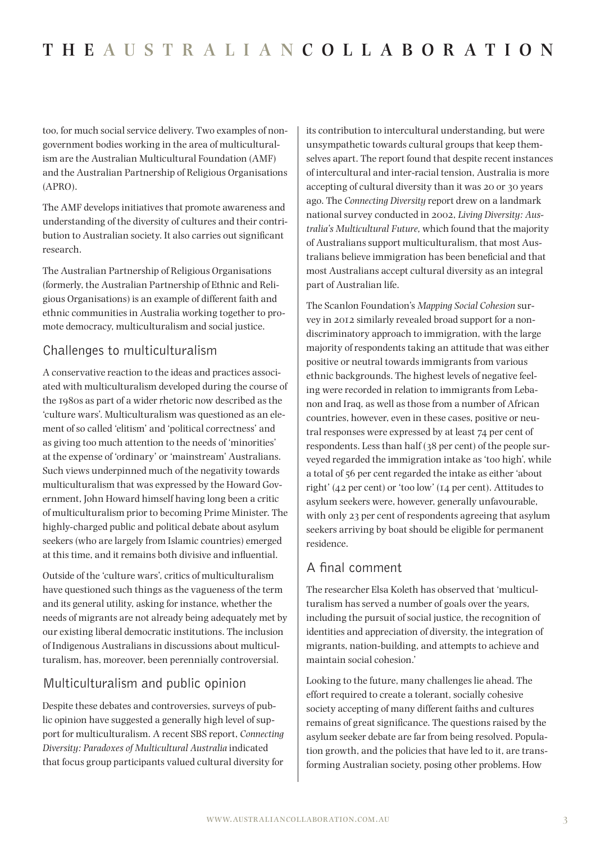too, for much social service delivery. Two examples of nongovernment bodies working in the area of multiculturalism are the Australian Multicultural Foundation (AMF) and the Australian Partnership of Religious Organisations (APRO).

The AMF develops initiatives that promote awareness and understanding of the diversity of cultures and their contribution to Australian society. It also carries out significant research.

The Australian Partnership of Religious Organisations (formerly, the Australian Partnership of Ethnic and Religious Organisations) is an example of different faith and ethnic communities in Australia working together to promote democracy, multiculturalism and social justice.

## Challenges to multiculturalism

A conservative reaction to the ideas and practices associated with multiculturalism developed during the course of the 1980s as part of a wider rhetoric now described as the 'culture wars'. Multiculturalism was questioned as an element of so called 'elitism' and 'political correctness' and as giving too much attention to the needs of 'minorities' at the expense of 'ordinary' or 'mainstream' Australians. Such views underpinned much of the negativity towards multiculturalism that was expressed by the Howard Government, John Howard himself having long been a critic of multiculturalism prior to becoming Prime Minister. The highly-charged public and political debate about asylum seekers (who are largely from Islamic countries) emerged at this time, and it remains both divisive and influential.

Outside of the 'culture wars', critics of multiculturalism have questioned such things as the vagueness of the term and its general utility, asking for instance, whether the needs of migrants are not already being adequately met by our existing liberal democratic institutions. The inclusion of Indigenous Australians in discussions about multiculturalism, has, moreover, been perennially controversial.

## Multiculturalism and public opinion

Despite these debates and controversies, surveys of public opinion have suggested a generally high level of support for multiculturalism. A recent SBS report, *Connecting Diversity: Paradoxes of Multicultural Australia* indicated that focus group participants valued cultural diversity for

its contribution to intercultural understanding, but were unsympathetic towards cultural groups that keep themselves apart. The report found that despite recent instances of intercultural and inter-racial tension, Australia is more accepting of cultural diversity than it was 20 or 30 years ago. The *Connecting Diversity* report drew on a landmark national survey conducted in 2002, *Living Diversity: Australia's Multicultural Future,* which found that the majority of Australians support multiculturalism, that most Australians believe immigration has been beneficial and that most Australians accept cultural diversity as an integral part of Australian life.

The Scanlon Foundation's *Mapping Social Cohesion* survey in 2012 similarly revealed broad support for a nondiscriminatory approach to immigration, with the large majority of respondents taking an attitude that was either positive or neutral towards immigrants from various ethnic backgrounds. The highest levels of negative feeling were recorded in relation to immigrants from Lebanon and Iraq, as well as those from a number of African countries, however, even in these cases, positive or neutral responses were expressed by at least 74 per cent of respondents. Less than half (38 per cent) of the people surveyed regarded the immigration intake as 'too high', while a total of 56 per cent regarded the intake as either 'about right' (42 per cent) or 'too low' (14 per cent). Attitudes to asylum seekers were, however, generally unfavourable, with only 23 per cent of respondents agreeing that asylum seekers arriving by boat should be eligible for permanent residence.

## A final comment

The researcher Elsa Koleth has observed that 'multiculturalism has served a number of goals over the years, including the pursuit of social justice, the recognition of identities and appreciation of diversity, the integration of migrants, nation-building, and attempts to achieve and maintain social cohesion.'

Looking to the future, many challenges lie ahead. The effort required to create a tolerant, socially cohesive society accepting of many different faiths and cultures remains of great significance. The questions raised by the asylum seeker debate are far from being resolved. Population growth, and the policies that have led to it, are transforming Australian society, posing other problems. How